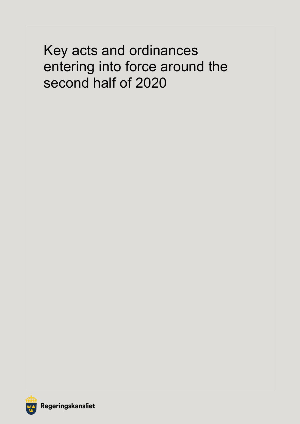# Key acts and ordinances entering into force around the second half of 2020

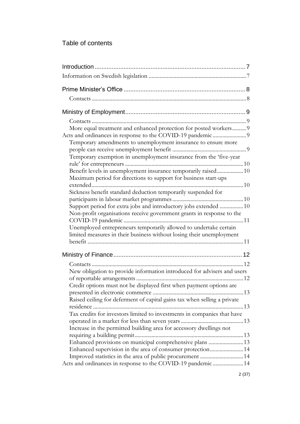## Table of contents

2 (37)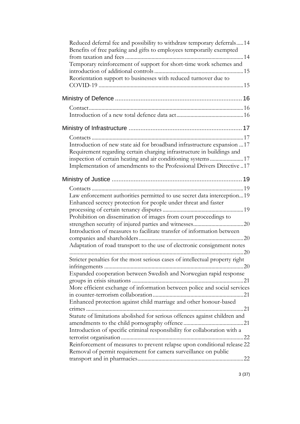| Reduced deferral fee and possibility to withdraw temporary deferrals14<br>Benefits of free parking and gifts to employees temporarily exempted                                                                                                                                                                                                                                                                                                                                                                                                                                                                |  |
|---------------------------------------------------------------------------------------------------------------------------------------------------------------------------------------------------------------------------------------------------------------------------------------------------------------------------------------------------------------------------------------------------------------------------------------------------------------------------------------------------------------------------------------------------------------------------------------------------------------|--|
| Temporary reinforcement of support for short-time work schemes and<br>Reorientation support to businesses with reduced turnover due to                                                                                                                                                                                                                                                                                                                                                                                                                                                                        |  |
|                                                                                                                                                                                                                                                                                                                                                                                                                                                                                                                                                                                                               |  |
|                                                                                                                                                                                                                                                                                                                                                                                                                                                                                                                                                                                                               |  |
|                                                                                                                                                                                                                                                                                                                                                                                                                                                                                                                                                                                                               |  |
| Introduction of new state aid for broadband infrastructure expansion 17<br>Requirement regarding certain charging infrastructure in buildings and<br>inspection of certain heating and air conditioning systems17<br>Implementation of amendments to the Professional Drivers Directive 17                                                                                                                                                                                                                                                                                                                    |  |
|                                                                                                                                                                                                                                                                                                                                                                                                                                                                                                                                                                                                               |  |
| Law enforcement authorities permitted to use secret data interception19<br>Enhanced secrecy protection for people under threat and faster<br>Prohibition on dissemination of images from court proceedings to<br>Introduction of measures to facilitate transfer of information between<br>Adaptation of road transport to the use of electronic consignment notes                                                                                                                                                                                                                                            |  |
| Stricter penalties for the most serious cases of intellectual property right<br>Expanded cooperation between Swedish and Norwegian rapid response<br>More efficient exchange of information between police and social services<br>Enhanced protection against child marriage and other honour-based<br>Statute of limitations abolished for serious offences against children and<br>Introduction of specific criminal responsibility for collaboration with a<br>Reinforcement of measures to prevent relapse upon conditional release 22<br>Removal of permit requirement for camera surveillance on public |  |
|                                                                                                                                                                                                                                                                                                                                                                                                                                                                                                                                                                                                               |  |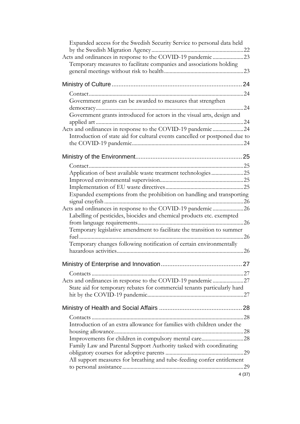| Expanded access for the Swedish Security Service to personal data held      |    |
|-----------------------------------------------------------------------------|----|
| Acts and ordinances in response to the COVID-19 pandemic 23                 |    |
| Temporary measures to facilitate companies and associations holding         |    |
|                                                                             |    |
|                                                                             |    |
|                                                                             |    |
| Government grants can be awarded to measures that strengthen                |    |
| Government grants introduced for actors in the visual arts, design and      |    |
| Acts and ordinances in response to the COVID-19 pandemic 24                 |    |
| Introduction of state aid for cultural events cancelled or postponed due to |    |
|                                                                             |    |
|                                                                             |    |
| Application of best available waste treatment technologies25                |    |
|                                                                             |    |
|                                                                             |    |
| Expanded exemptions from the prohibition on handling and transporting       |    |
| Acts and ordinances in response to the COVID-19 pandemic 26                 |    |
| Labelling of pesticides, biocides and chemical products etc. exempted       |    |
| Temporary legislative amendment to facilitate the transition to summer      |    |
| Temporary changes following notification of certain environmentally         |    |
|                                                                             | 27 |
|                                                                             |    |
| Acts and ordinances in response to the COVID-19 pandemic 27                 |    |
| State aid for temporary rebates for commercial tenants particularly hard    |    |
|                                                                             |    |
|                                                                             |    |
| Introduction of an extra allowance for families with children under the     |    |
| Family Law and Parental Support Authority tasked with coordinating          |    |
|                                                                             |    |
| All support measures for breathing and tube-feeding confer entitlement      |    |
|                                                                             |    |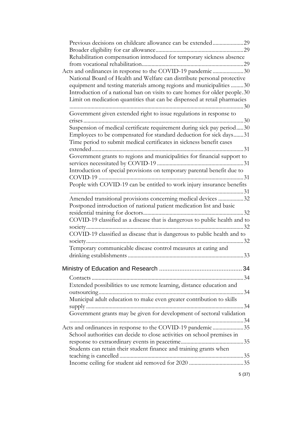| Previous decisions on childcare allowance can be extended29                |  |
|----------------------------------------------------------------------------|--|
|                                                                            |  |
| Rehabilitation compensation introduced for temporary sickness absence      |  |
|                                                                            |  |
| Acts and ordinances in response to the COVID-19 pandemic 30                |  |
| National Board of Health and Welfare can distribute personal protective    |  |
| equipment and testing materials among regions and municipalities 30        |  |
| Introduction of a national ban on visits to care homes for older people.30 |  |
| Limit on medication quantities that can be dispensed at retail pharmacies  |  |
| Government given extended right to issue regulations in response to        |  |
|                                                                            |  |
| Suspension of medical certificate requirement during sick pay period30     |  |
| Employees to be compensated for standard deduction for sick days31         |  |
| Time period to submit medical certificates in sickness benefit cases       |  |
|                                                                            |  |
| Government grants to regions and municipalities for financial support to   |  |
| Introduction of special provisions on temporary parental benefit due to    |  |
|                                                                            |  |
| People with COVID-19 can be entitled to work injury insurance benefits     |  |
|                                                                            |  |
| Amended transitional provisions concerning medical devices 32              |  |
| Postponed introduction of national patient medication list and basic       |  |
|                                                                            |  |
| COVID-19 classified as a disease that is dangerous to public health and to |  |
|                                                                            |  |
| COVID-19 classified as disease that is dangerous to public health and to   |  |
|                                                                            |  |
| Temporary communicable disease control measures at eating and              |  |
|                                                                            |  |
|                                                                            |  |
|                                                                            |  |
| Extended possibilities to use remote learning, distance education and      |  |
|                                                                            |  |
| Municipal adult education to make even greater contribution to skills      |  |
|                                                                            |  |
| Government grants may be given for development of sectoral validation      |  |
|                                                                            |  |
| Acts and ordinances in response to the COVID-19 pandemic 35                |  |
| School authorities can decide to close activities on school premises in    |  |
|                                                                            |  |
| Students can retain their student finance and training grants when         |  |
|                                                                            |  |
|                                                                            |  |

5 (37)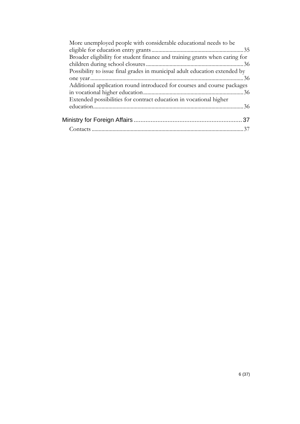| More unemployed people with considerable educational needs to be            |  |
|-----------------------------------------------------------------------------|--|
|                                                                             |  |
| Broader eligibility for student finance and training grants when caring for |  |
|                                                                             |  |
| Possibility to issue final grades in municipal adult education extended by  |  |
|                                                                             |  |
| Additional application round introduced for courses and course packages     |  |
|                                                                             |  |
| Extended possibilities for contract education in vocational higher          |  |
|                                                                             |  |
|                                                                             |  |
|                                                                             |  |
|                                                                             |  |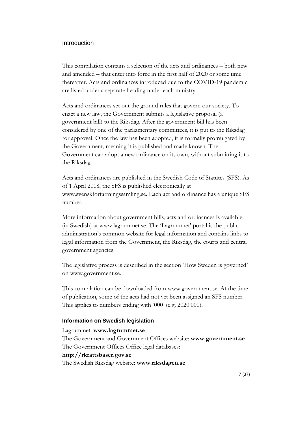#### <span id="page-6-0"></span>Introduction

This compilation contains a selection of the acts and ordinances – both new and amended – that enter into force in the first half of 2020 or some time thereafter. Acts and ordinances introduced due to the COVID-19 pandemic are listed under a separate heading under each ministry.

Acts and ordinances set out the ground rules that govern our society. To enact a new law, the Government submits a legislative proposal (a government bill) to the Riksdag. After the government bill has been considered by one of the parliamentary committees, it is put to the Riksdag for approval. Once the law has been adopted, it is formally promulgated by the Government, meaning it is published and made known. The Government can adopt a new ordinance on its own, without submitting it to the Riksdag.

Acts and ordinances are published in the Swedish Code of Statutes (SFS). As of 1 April 2018, the SFS is published electronically at www.svenskforfattningssamling.se. Each act and ordinance has a unique SFS number.

More information about government bills, acts and ordinances is available (in Swedish) at www.lagrummet.se. The 'Lagrummet' portal is the public administration's common website for legal information and contains links to legal information from the Government, the Riksdag, the courts and central government agencies.

The legislative process is described in the section 'How Sweden is governed' on www.government.se.

This compilation can be downloaded from www.government.se. At the time of publication, some of the acts had not yet been assigned an SFS number. This applies to numbers ending with '000' (e.g. 2020:000).

#### <span id="page-6-1"></span>**Information on Swedish legislation**

#### Lagrummet: **www.lagrummet.se**

The Government and Government Offices website: **www.government.se** The Government Offices Office legal databases:

## **http://rkrattsbaser.gov.se**

The Swedish Riksdag website: **www.riksdagen.se**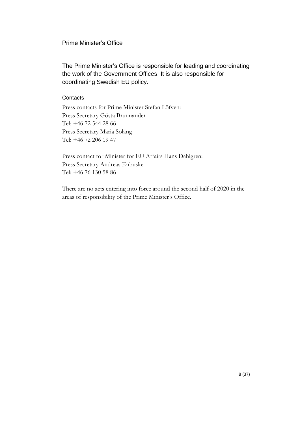## <span id="page-7-0"></span>Prime Minister's Office

The Prime Minister's Office is responsible for leading and coordinating the work of the Government Offices. It is also responsible for coordinating Swedish EU policy.

## <span id="page-7-1"></span>**Contacts**

Press contacts for Prime Minister Stefan Löfven: Press Secretary Gösta Brunnander Tel: +46 72 544 28 66 Press Secretary Maria Soläng Tel: +46 72 206 19 47

Press contact for Minister for EU Affairs Hans Dahlgren: Press Secretary Andreas Enbuske Tel: +46 76 130 58 86

There are no acts entering into force around the second half of 2020 in the areas of responsibility of the Prime Minister's Office.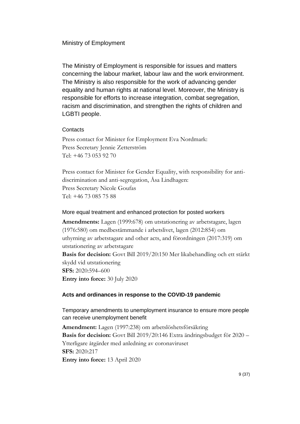## <span id="page-8-0"></span>Ministry of Employment

The Ministry of Employment is responsible for issues and matters concerning the labour market, labour law and the work environment. The Ministry is also responsible for the work of advancing gender equality and human rights at national level. Moreover, the Ministry is responsible for efforts to increase integration, combat segregation, racism and discrimination, and strengthen the rights of children and LGBTI people.

## <span id="page-8-1"></span>**Contacts**

Press contact for Minister for Employment Eva Nordmark: Press Secretary Jennie Zetterström Tel: +46 73 053 92 70

Press contact for Minister for Gender Equality, with responsibility for antidiscrimination and anti-segregation, Åsa Lindhagen: Press Secretary Nicole Goufas Tel: +46 73 085 75 88

## <span id="page-8-2"></span>More equal treatment and enhanced protection for posted workers

**Amendments:** Lagen (1999:678) om utstationering av arbetstagare, lagen (1976:580) om medbestämmande i arbetslivet, lagen (2012:854) om uthyrning av arbetstagare and other acts, and förordningen (2017:319) om utstationering av arbetstagare **Basis for decision:** Govt Bill 2019/20:150 Mer likabehandling och ett stärkt skydd vid utstationering **SFS:** 2020:594–600 **Entry into force:** 30 July 2020

## <span id="page-8-3"></span>**Acts and ordinances in response to the COVID-19 pandemic**

<span id="page-8-4"></span>Temporary amendments to unemployment insurance to ensure more people can receive unemployment benefit

**Amendment:** Lagen (1997:238) om arbetslöshetsförsäkring **Basis for decision:** Govt Bill 2019/20:146 Extra ändringsbudget för 2020 – Ytterligare åtgärder med anledning av coronaviruset **SFS:** 2020:217 **Entry into force:** 13 April 2020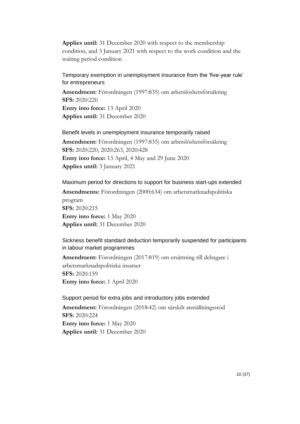**Applies until:** 31 December 2020 with respect to the membership condition, and 3 January 2021 with respect to the work condition and the waiting period condition

<span id="page-9-0"></span>Temporary exemption in unemployment insurance from the 'five-year rule' for entrepreneurs

**Amendment:** Förordningen (1997:835) om arbetslöshetsförsäkring **SFS:** 2020:220 **Entry into force:** 13 April 2020 **Applies until:** 31 December 2020

<span id="page-9-1"></span>Benefit levels in unemployment insurance temporarily raised **Amendment:** Förordningen (1997:835) om arbetslöshetsförsäkring **SFS:** 2020:220, 2020:263, 2020:428 **Entry into force:** 13 April, 4 May and 29 June 2020 **Applies until:** 3 January 2021

<span id="page-9-2"></span>Maximum period for directions to support for business start-ups extended **Amendments:** Förordningen (2000:634) om arbetsmarknadspolitiska program **SFS:** 2020:215 **Entry into force:** 1 May 2020 **Applies until:** 31 December 2020

<span id="page-9-3"></span>Sickness benefit standard deduction temporarily suspended for participants in labour market programmes

**Amendment:** Förordningen (2017:819) om ersättning till deltagare i arbetsmarknadspolitiska insatser **SFS:** 2020:159 **Entry into force:** 1 April 2020

<span id="page-9-4"></span>Support period for extra jobs and introductory jobs extended **Amendment:** Förordningen (2018:42) om särskilt anställningsstöd **SFS:** 2020:224 **Entry into force:** 1 May 2020 **Applies until:** 31 December 2020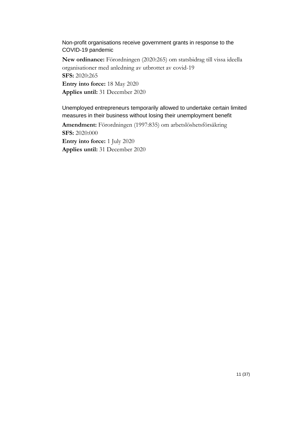<span id="page-10-0"></span>Non-profit organisations receive government grants in response to the COVID-19 pandemic

**New ordinance:** Förordningen (2020:265) om statsbidrag till vissa ideella organisationer med anledning av utbrottet av covid-19 **SFS:** 2020:265 **Entry into force:** 18 May 2020 **Applies until:** 31 December 2020

<span id="page-10-1"></span>Unemployed entrepreneurs temporarily allowed to undertake certain limited measures in their business without losing their unemployment benefit

**Amendment:** Förordningen (1997:835) om arbetslöshetsförsäkring **SFS:** 2020:000 **Entry into force:** 1 July 2020

**Applies until:** 31 December 2020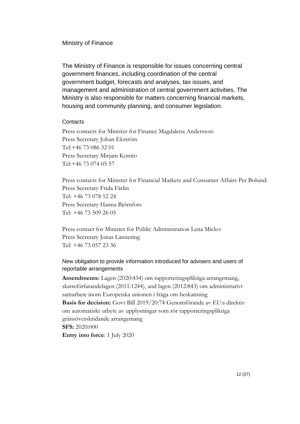#### <span id="page-11-0"></span>Ministry of Finance

The Ministry of Finance is responsible for issues concerning central government finances, including coordination of the central government budget, forecasts and analyses, tax issues, and management and administration of central government activities. The Ministry is also responsible for matters concerning financial markets, housing and community planning, and consumer legislation.

#### <span id="page-11-1"></span>**Contacts**

Press contacts for Minister for Finance Magdalena Andersson: Press Secretary Johan Ekström Tel:+46 73 086 32 01 Press Secretary Mirjam Kontio Tel:+46 73 074 05 57

Press contacts for Minister for Financial Markets and Consumer Affairs Per Bolund: Press Secretary Frida Färlin Tel: +46 73 078 52 24 Press Secretary Hanna Björnfors Tel: +46 73 509 26 05

Press contact for Minister for Public Administration Lena Micko: Press Secretary Jonas Lannering Tel: +46 73 057 23 36

## <span id="page-11-2"></span>New obligation to provide information introduced for advisers and users of reportable arrangements

**Amendments:** Lagen (2020:434) om rapporteringspliktiga arrangemang, skatteförfarandelagen (2011:1244), and lagen (2012:843) om administrativt samarbete inom Europeiska unionen i fråga om beskattning **Basis for decision:** Govt Bill 2019/20:74 Genomförande av EU:s direktiv om automatiskt utbyte av upplysningar som rör rapporteringspliktiga gränsöverskridande arrangemang **SFS:** 2020:000

**Entry into force**: 1 July 2020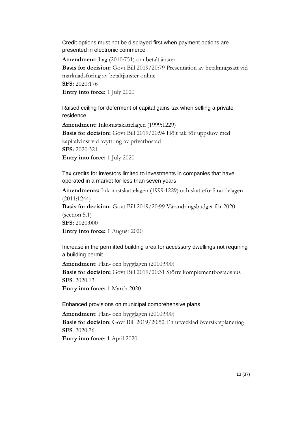<span id="page-12-0"></span>Credit options must not be displayed first when payment options are presented in electronic commerce

**Amendment:** Lag (2010:751) om betaltjänster **Basis for decision:** Govt Bill 2019/20:79 Presentation av betalningssätt vid marknadsföring av betaltjänster online **SFS:** 2020:176 **Entry into force:** 1 July 2020

<span id="page-12-1"></span>Raised ceiling for deferment of capital gains tax when selling a private residence

**Amendment:** Inkomstskattelagen (1999:1229) **Basis for decision:** Govt Bill 2019/20:94 Höjt tak för uppskov med kapitalvinst vid avyttring av privatbostad **SFS:** 2020:321 **Entry into force:** 1 July 2020

<span id="page-12-2"></span>Tax credits for investors limited to investments in companies that have operated in a market for less than seven years

**Amendments:** Inkomstskattelagen (1999:1229) och skatteförfarandelagen (2011:1244) **Basis for decision:** Govt Bill 2019/20:99 Vårändringsbudget för 2020 (section 5.1) **SFS:** 2020:000 **Entry into force:** 1 August 2020

<span id="page-12-3"></span>Increase in the permitted building area for accessory dwellings not requiring a building permit

**Amendment**: Plan- och bygglagen (2010:900) **Basis for decision:** Govt Bill 2019/20:31 Större komplementbostadshus **SFS**: 2020:13 **Entry into force:** 1 March 2020

<span id="page-12-4"></span>Enhanced provisions on municipal comprehensive plans

**Amendment**: Plan- och bygglagen (2010:900) **Basis for decision**: Govt Bill 2019/20:52 En utvecklad översiktsplanering **SFS**: 2020:76 **Entry into force**: 1 April 2020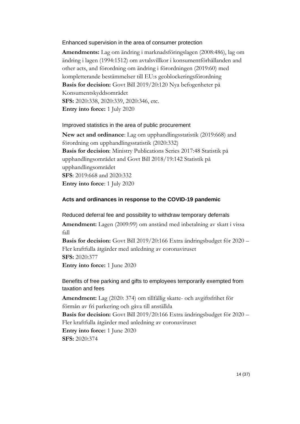#### <span id="page-13-0"></span>Enhanced supervision in the area of consumer protection

**Amendments:** Lag om ändring i marknadsföringslagen (2008:486), lag om ändring i lagen (1994:1512) om avtalsvillkor i konsumentförhållanden and other acts, and förordning om ändring i förordningen (2019:60) med kompletterande bestämmelser till EU:s geoblockeringsförordning **Basis for decision:** Govt Bill 2019/20:120 Nya befogenheter på Konsumentskyddsområdet **SFS:** 2020:338, 2020:339, 2020:346, etc. **Entry into force:** 1 July 2020

#### <span id="page-13-1"></span>Improved statistics in the area of public procurement

**New act and ordinance**: Lag om upphandlingsstatistik (2019:668) and förordning om upphandlingsstatistik (2020:332) **Basis for decision**: Ministry Publications Series 2017:48 Statistik på upphandlingsområdet and Govt Bill 2018/19:142 Statistik på upphandlingsområdet **SFS**: 2019:668 and 2020:332 **Entry into force**: 1 July 2020

#### <span id="page-13-2"></span>**Acts and ordinances in response to the COVID-19 pandemic**

<span id="page-13-3"></span>Reduced deferral fee and possibility to withdraw temporary deferrals

**Amendment:** Lagen (2009:99) om anstånd med inbetalning av skatt i vissa fall

**Basis for decision:** Govt Bill 2019/20:166 Extra ändringsbudget för 2020 – Fler kraftfulla åtgärder med anledning av coronaviruset **SFS:** 2020:377

**Entry into force:** 1 June 2020

## <span id="page-13-4"></span>Benefits of free parking and gifts to employees temporarily exempted from taxation and fees

**Amendment:** Lag (2020: 374) om tillfällig skatte- och avgiftsfrihet för förmån av fri parkering och gåva till anställda **Basis for decision:** Govt Bill 2019/20:166 Extra ändringsbudget för 2020 – Fler kraftfulla åtgärder med anledning av coronaviruset **Entry into force:** 1 June 2020

**SFS:** 2020:374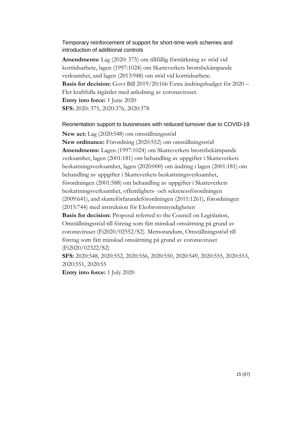## <span id="page-14-0"></span>Temporary reinforcement of support for short-time work schemes and introduction of additional controls

**Amendments:** Lag (2020: 375) om tillfällig förstärkning av stöd vid korttidsarbete, lagen (1997:1024) om Skatteverkets brottsbekämpande verksamhet, and lagen (2013:948) om stöd vid korttidsarbete. **Basis for decision:** Govt Bill 2019/20:166 Extra ändringsbudget för 2020 – Fler kraftfulla åtgärder med anledning av coronaviruset. **Entry into force:** 1 June 2020 **SFS:** 2020: 375, 2020:376, 2020:378

#### <span id="page-14-1"></span>Reorientation support to businesses with reduced turnover due to COVID-19

**New act:** Lag (2020:548) om omställningsstöd

**New ordinance:** Förordning (2020:552) om omställningsstöd **Amendments:** Lagen (1997:1024) om Skatteverkets brottsbekämpande verksamhet, lagen (2001:181) om behandling av uppgifter i Skatteverkets beskattningsverksamhet, lagen (2020:000) om ändring i lagen (2001:181) om behandling av uppgifter i Skatteverkets beskattningsverksamhet, förordningen (2001:588) om behandling av uppgifter i Skatteverkets beskattningsverksamhet, offentlighets- och sekretessförordningen (2009:641), and skatteförfarandeförordningen (2011:1261), förordningen (2015:744) med instruktion för Ekobrottsmyndigheten

**Basis for decision:** Proposal referred to the Council on Legislation, Omställningsstöd till företag som fått minskad omsättning på grund av coronaviruset (Fi2020/02552/S2). Memorandum, Omställningsstöd till företag som fått minskad omsättning på grund av coronaviruset (Fi2020/02322/S2)

**SFS:** 2020:548, 2020:552, 2020:556, 2020:550, 2020:549, 2020:555, 2020:553, 2020:551, 2020:55

**Entry into force:** 1 July 2020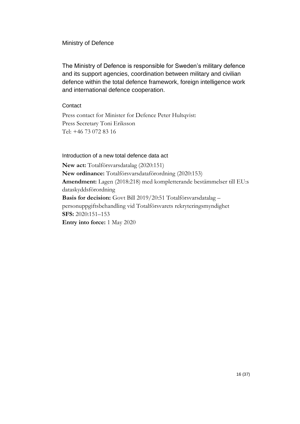## <span id="page-15-0"></span>Ministry of Defence

The Ministry of Defence is responsible for Sweden's military defence and its support agencies, coordination between military and civilian defence within the total defence framework, foreign intelligence work and international defence cooperation.

#### <span id="page-15-1"></span>**Contact**

Press contact for Minister for Defence Peter Hultqvist: Press Secretary Toni Eriksson Tel: +46 73 072 83 16

#### <span id="page-15-2"></span>Introduction of a new total defence data act

**New act:** Totalförsvarsdatalag (2020:151) **New ordinance:** Totalförsvarsdataförordning (2020:153) **Amendment:** Lagen (2018:218) med kompletterande bestämmelser till EU:s dataskyddsförordning **Basis for decision:** Govt Bill 2019/20:51 Totalförsvarsdatalag – personuppgiftsbehandling vid Totalförsvarets rekryteringsmyndighet **SFS:** 2020:151–153 **Entry into force:** 1 May 2020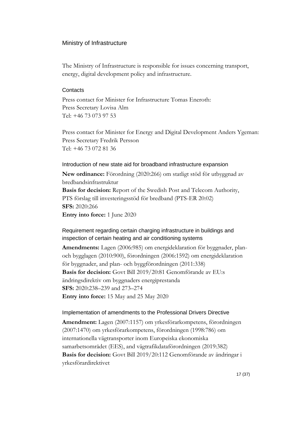#### <span id="page-16-0"></span>Ministry of Infrastructure

The Ministry of Infrastructure is responsible for issues concerning transport, energy, digital development policy and infrastructure.

#### <span id="page-16-1"></span>**Contacts**

Press contact for Minister for Infrastructure Tomas Eneroth: Press Secretary Lovisa Alm Tel: +46 73 073 97 53

Press contact for Minister for Energy and Digital Development Anders Ygeman: Press Secretary Fredrik Persson Tel: +46 73 072 81 36

## <span id="page-16-2"></span>Introduction of new state aid for broadband infrastructure expansion

**New ordinance:** Förordning (2020:266) om statligt stöd för utbyggnad av bredbandsinfrastruktur **Basis for decision:** Report of the Swedish Post and Telecom Authority, PTS förslag till investeringsstöd för bredband (PTS-ER 20:02) **SFS:** 2020:266 **Entry into force:** 1 June 2020

## <span id="page-16-3"></span>Requirement regarding certain charging infrastructure in buildings and inspection of certain heating and air conditioning systems

**Amendments:** Lagen (2006:985) om energideklaration för byggnader, planoch bygglagen (2010:900), förordningen (2006:1592) om energideklaration för byggnader, and plan- och byggförordningen (2011:338) **Basis for decision:** Govt Bill 2019/20:81 Genomförande av EU:s ändringsdirektiv om byggnaders energiprestanda **SFS:** 2020:238–239 and 273–274 **Entry into force:** 15 May and 25 May 2020

#### <span id="page-16-4"></span>Implementation of amendments to the Professional Drivers Directive

**Amendment:** Lagen (2007:1157) om yrkesförarkompetens, förordningen (2007:1470) om yrkesförarkompetens, förordningen (1998:786) om internationella vägtransporter inom Europeiska ekonomiska samarbetsområdet (EES), and vägtrafikdataförordningen (2019:382) **Basis for decision:** Govt Bill 2019/20:112 Genomförande av ändringar i yrkesförardirektivet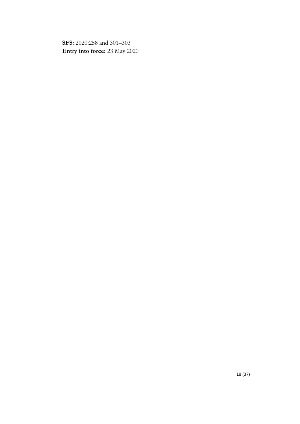**SFS:** 2020:258 and 301–303 **Entry into force:** 23 May 2020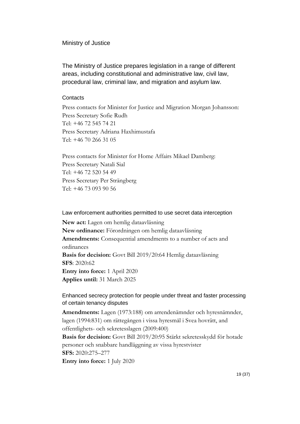#### <span id="page-18-0"></span>Ministry of Justice

The Ministry of Justice prepares legislation in a range of different areas, including constitutional and administrative law, civil law, procedural law, criminal law, and migration and asylum law.

#### <span id="page-18-1"></span>**Contacts**

Press contacts for Minister for Justice and Migration Morgan Johansson: Press Secretary Sofie Rudh Tel: +46 72 545 74 21 Press Secretary Adriana Haxhimustafa Tel: +46 70 266 31 05

Press contacts for Minister for Home Affairs Mikael Damberg: Press Secretary Natali Sial Tel: +46 72 520 54 49 Press Secretary Per Strängberg Tel: +46 73 093 90 56

## <span id="page-18-2"></span>Law enforcement authorities permitted to use secret data interception

**New act:** Lagen om hemlig dataavläsning **New ordinance:** Förordningen om hemlig dataavläsning **Amendments:** Consequential amendments to a number of acts and ordinances **Basis for decision:** Govt Bill 2019/20:64 Hemlig dataavläsning **SFS**: 2020:62 **Entry into force:** 1 April 2020 **Applies until:** 31 March 2025

## <span id="page-18-3"></span>Enhanced secrecy protection for people under threat and faster processing of certain tenancy disputes

**Amendments:** Lagen (1973:188) om arrendenämnder och hyresnämnder, lagen (1994:831) om rättegången i vissa hyresmål i Svea hovrätt, and offentlighets- och sekretesslagen (2009:400)

**Basis for decision:** Govt Bill 2019/20:95 Stärkt sekretesskydd för hotade personer och snabbare handläggning av vissa hyrestvister **SFS:** 2020:275–277

**Entry into force:** 1 July 2020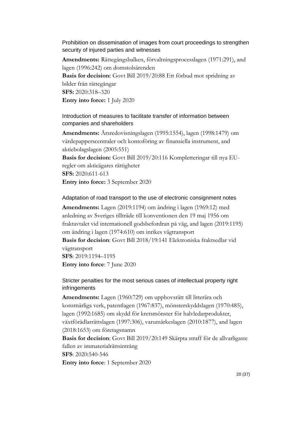<span id="page-19-0"></span>Prohibition on dissemination of images from court proceedings to strengthen security of injured parties and witnesses

**Amendments:** Rättegångsbalken, förvaltningsprocesslagen (1971:291), and lagen (1996:242) om domstolsärenden

**Basis for decision:** Govt Bill 2019/20:88 Ett förbud mot spridning av bilder från rättegångar **SFS:** 2020:318–320 **Entry into force:** 1 July 2020

<span id="page-19-1"></span>Introduction of measures to facilitate transfer of information between companies and shareholders

**Amendments:** Årsredovisningslagen (1995:1554), lagen (1998:1479) om värdepapperscentraler och kontoföring av finansiella instrument, and aktiebolagslagen (2005:551)

**Basis for decision:** Govt Bill 2019/20:116 Kompletteringar till nya EUregler om aktieägares rättigheter **SFS:** 2020:611-613

**Entry into force:** 3 September 2020

#### <span id="page-19-2"></span>Adaptation of road transport to the use of electronic consignment notes

**Amendments:** Lagen (2019:1194) om ändring i lagen (1969:12) med anledning av Sveriges tillträde till konventionen den 19 maj 1956 om fraktavtalet vid internationell godsbefordran på väg, and lagen (2019:1195) om ändring i lagen (1974:610) om inrikes vägtransport

**Basis for decision**: Govt Bill 2018/19:141 Elektroniska fraktsedlar vid vägtransport

**SFS**: 2019:1194–1195 **Entry into force**: 7 June 2020

## <span id="page-19-3"></span>Stricter penalties for the most serious cases of intellectual property right infringements

**Amendments:** Lagen (1960:729) om upphovsrätt till litterära och konstnärliga verk, patentlagen (1967:837), mönsterskyddslagen (1970:485), lagen (1992:1685) om skydd för kretsmönster för halvledarprodukter, växtförädlarrättslagen (1997:306), varumärkeslagen (2010:1877), and lagen (2018:1653) om företagsnamn

**Basis for decision**: Govt Bill 2019/20:149 Skärpta straff för de allvarligaste fallen av immaterialrättsintrång

**SFS**: 2020:540-546

**Entry into force**: 1 September 2020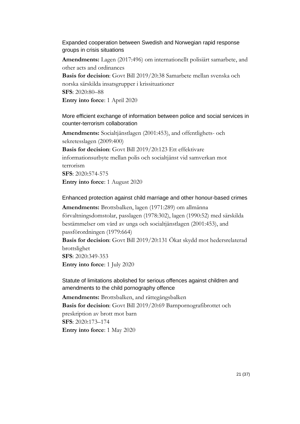<span id="page-20-0"></span>Expanded cooperation between Swedish and Norwegian rapid response groups in crisis situations

**Amendments:** Lagen (2017:496) om internationellt polisiärt samarbete, and other acts and ordinances

**Basis for decision**: Govt Bill 2019/20:38 Samarbete mellan svenska och norska särskilda insatsgrupper i krissituationer **SFS**: 2020:80–88 **Entry into force**: 1 April 2020

<span id="page-20-1"></span>More efficient exchange of information between police and social services in counter-terrorism collaboration

**Amendments:** Socialtjänstlagen (2001:453), and offentlighets- och sekretesslagen (2009:400) **Basis for decision**: Govt Bill 2019/20:123 Ett effektivare informationsutbyte mellan polis och socialtjänst vid samverkan mot terrorism **SFS**: 2020:574-575 **Entry into force**: 1 August 2020

#### <span id="page-20-2"></span>Enhanced protection against child marriage and other honour-based crimes

**Amendments:** Brottsbalken, lagen (1971:289) om allmänna förvaltningsdomstolar, passlagen (1978:302), lagen (1990:52) med särskilda bestämmelser om vård av unga och socialtjänstlagen (2001:453), and passförordningen (1979:664)

**Basis for decision**: Govt Bill 2019/20:131 Ökat skydd mot hedersrelaterad brottslighet

**SFS**: 2020:349-353 **Entry into force**: 1 July 2020

<span id="page-20-3"></span>Statute of limitations abolished for serious offences against children and amendments to the child pornography offence

**Amendments:** Brottsbalken, and rättegångsbalken **Basis for decision**: Govt Bill 2019/20:69 Barnpornografibrottet och preskription av brott mot barn **SFS**: 2020:173–174 **Entry into force**: 1 May 2020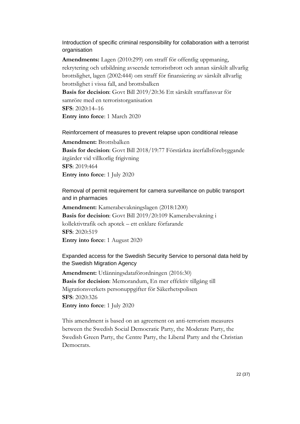<span id="page-21-0"></span>Introduction of specific criminal responsibility for collaboration with a terrorist organisation

**Amendments:** Lagen (2010:299) om straff för offentlig uppmaning, rekrytering och utbildning avseende terroristbrott och annan särskilt allvarlig brottslighet, lagen (2002:444) om straff för finansiering av särskilt allvarlig brottslighet i vissa fall, and brottsbalken

**Basis for decision**: Govt Bill 2019/20:36 Ett särskilt straffansvar för samröre med en terroristorganisation **SFS**: 2020:14–16 **Entry into force**: 1 March 2020

<span id="page-21-1"></span>Reinforcement of measures to prevent relapse upon conditional release

**Amendment:** Brottsbalken **Basis for decision**: Govt Bill 2018/19:77 Förstärkta återfallsförebyggande åtgärder vid villkorlig frigivning **SFS**: 2019:464 **Entry into force**: 1 July 2020

<span id="page-21-2"></span>Removal of permit requirement for camera surveillance on public transport and in pharmacies

**Amendment:** Kamerabevakningslagen (2018:1200) **Basis for decision**: Govt Bill 2019/20:109 Kamerabevakning i kollektivtrafik och apotek – ett enklare förfarande **SFS**: 2020:519 **Entry into force**: 1 August 2020

<span id="page-21-3"></span>Expanded access for the Swedish Security Service to personal data held by the Swedish Migration Agency

**Amendment:** Utlänningsdataförordningen (2016:30) **Basis for decision**: Memorandum, En mer effektiv tillgång till Migrationsverkets personuppgifter för Säkerhetspolisen **SFS**: 2020:326 **Entry into force**: 1 July 2020

This amendment is based on an agreement on anti-terrorism measures between the Swedish Social Democratic Party, the Moderate Party, the Swedish Green Party, the Centre Party, the Liberal Party and the Christian Democrats.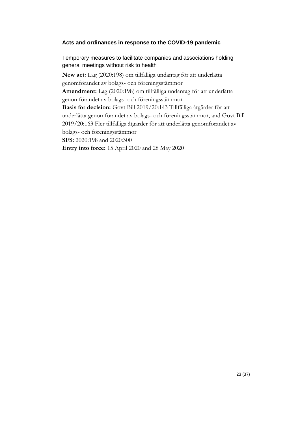## <span id="page-22-0"></span>**Acts and ordinances in response to the COVID-19 pandemic**

<span id="page-22-1"></span>Temporary measures to facilitate companies and associations holding general meetings without risk to health

**New act:** Lag (2020:198) om tillfälliga undantag för att underlätta genomförandet av bolags- och föreningsstämmor **Amendment:** Lag (2020:198) om tillfälliga undantag för att underlätta genomförandet av bolags- och föreningsstämmor **Basis for decision:** Govt Bill 2019/20:143 Tillfälliga åtgärder för att underlätta genomförandet av bolags- och föreningsstämmor, and Govt Bill

2019/20:163 Fler tillfälliga åtgärder för att underlätta genomförandet av bolags- och föreningsstämmor

**SFS:** 2020:198 and 2020:300

**Entry into force:** 15 April 2020 and 28 May 2020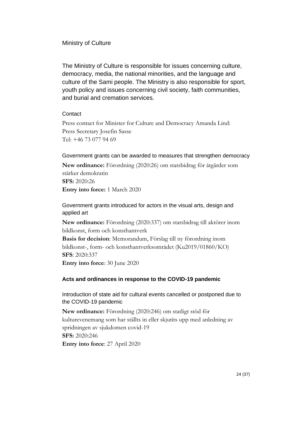## <span id="page-23-0"></span>Ministry of Culture

The Ministry of Culture is responsible for issues concerning culture, democracy, media, the national minorities, and the language and culture of the Sami people. The Ministry is also responsible for sport, youth policy and issues concerning civil society, faith communities, and burial and cremation services.

## <span id="page-23-1"></span>**Contact**

Press contact for Minister for Culture and Democracy Amanda Lind: Press Secretary Josefin Sasse Tel: +46 73 077 94 69

## <span id="page-23-2"></span>Government grants can be awarded to measures that strengthen democracy

**New ordinance:** Förordning (2020:26) om statsbidrag för åtgärder som stärker demokratin **SFS:** 2020:26 **Entry into force:** 1 March 2020

<span id="page-23-3"></span>Government grants introduced for actors in the visual arts, design and applied art

**New ordinance:** Förordning (2020:337) om statsbidrag till aktörer inom bildkonst, form och konsthantverk

**Basis for decision**: Memorandum, Förslag till ny förordning inom bildkonst-, form- och konsthantverksområdet (Ku2019/01860/KO) **SFS**: 2020:337

**Entry into force**: 30 June 2020

## <span id="page-23-4"></span>**Acts and ordinances in response to the COVID-19 pandemic**

<span id="page-23-5"></span>Introduction of state aid for cultural events cancelled or postponed due to the COVID-19 pandemic

**New ordinance:** Förordning (2020:246) om statligt stöd för kulturevenemang som har ställts in eller skjutits upp med anledning av spridningen av sjukdomen covid-19 **SFS:** 2020:246 **Entry into force**: 27 April 2020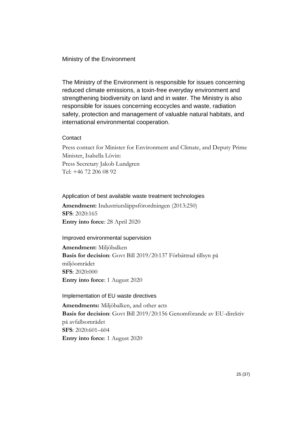#### <span id="page-24-0"></span>Ministry of the Environment

The Ministry of the Environment is responsible for issues concerning reduced climate emissions, a toxin-free everyday environment and strengthening biodiversity on land and in water. The Ministry is also responsible for issues concerning ecocycles and waste, radiation safety, protection and management of valuable natural habitats, and international environmental cooperation.

#### <span id="page-24-1"></span>**Contact**

Press contact for Minister for Environment and Climate, and Deputy Prime Minister, Isabella Lövin: Press Secretary Jakob Lundgren Tel: +46 72 206 08 92

#### <span id="page-24-2"></span>Application of best available waste treatment technologies

**Amendment:** Industriutsläppsförordningen (2013:250) **SFS**: 2020:165 **Entry into force**: 28 April 2020

#### <span id="page-24-3"></span>Improved environmental supervision

**Amendment:** Miljöbalken **Basis for decision**: Govt Bill 2019/20:137 Förbättrad tillsyn på miljöområdet **SFS**: 2020:000 **Entry into force**: 1 August 2020

#### <span id="page-24-4"></span>Implementation of EU waste directives

**Amendments:** Miljöbalken, and other acts **Basis for decision**: Govt Bill 2019/20:156 Genomförande av EU-direktiv på avfallsområdet **SFS**: 2020:601–604 **Entry into force**: 1 August 2020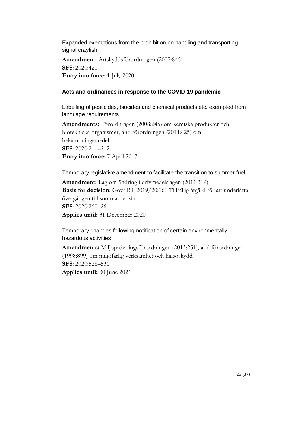<span id="page-25-0"></span>Expanded exemptions from the prohibition on handling and transporting signal crayfish

**Amendment:** Artskyddsförordningen (2007:845) **SFS**: 2020:420 **Entry into force**: 1 July 2020

#### <span id="page-25-1"></span>**Acts and ordinances in response to the COVID-19 pandemic**

<span id="page-25-2"></span>Labelling of pesticides, biocides and chemical products etc. exempted from language requirements

**Amendments:** Förordningen (2008:245) om kemiska produkter och biotekniska organismer, and förordningen (2014:425) om bekämpningsmedel **SFS**: 2020:211–212 **Entry into force**: 7 April 2017

<span id="page-25-3"></span>Temporary legislative amendment to facilitate the transition to summer fuel **Amendment:** Lag om ändring i drivmedelslagen (2011:319)

**Basis for decision**: Govt Bill 2019/20:160 Tillfällig åtgärd för att underlätta övergången till sommarbensin **SFS**: 2020:260–261 **Applies until:** 31 December 2020

<span id="page-25-4"></span>Temporary changes following notification of certain environmentally hazardous activities

**Amendments:** Miljöprövningsförordningen (2013:251), and förordningen (1998:899) om miljöfarlig verksamhet och hälsoskydd **SFS**: 2020:528–531 **Applies until:** 30 June 2021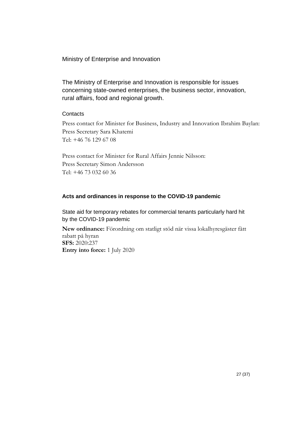<span id="page-26-0"></span>Ministry of Enterprise and Innovation

The Ministry of Enterprise and Innovation is responsible for issues concerning state-owned enterprises, the business sector, innovation, rural affairs, food and regional growth.

## <span id="page-26-1"></span>**Contacts**

Press contact for Minister for Business, Industry and Innovation Ibrahim Baylan: Press Secretary Sara Khatemi Tel: +46 76 129 67 08

Press contact for Minister for Rural Affairs Jennie Nilsson: Press Secretary Simon Andersson Tel: +46 73 032 60 36

#### <span id="page-26-2"></span>**Acts and ordinances in response to the COVID-19 pandemic**

<span id="page-26-3"></span>State aid for temporary rebates for commercial tenants particularly hard hit by the COVID-19 pandemic

**New ordinance:** Förordning om statligt stöd när vissa lokalhyresgäster fått rabatt på hyran **SFS:** 2020:237 **Entry into force:** 1 July 2020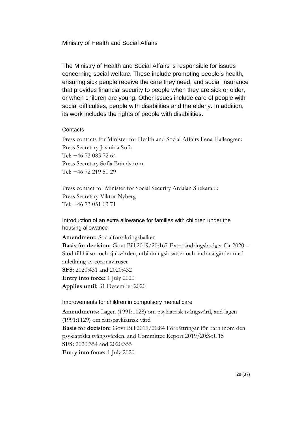<span id="page-27-0"></span>Ministry of Health and Social Affairs

The Ministry of Health and Social Affairs is responsible for issues concerning social welfare. These include promoting people's health, ensuring sick people receive the care they need, and social insurance that provides financial security to people when they are sick or older, or when children are young. Other issues include care of people with social difficulties, people with disabilities and the elderly. In addition, its work includes the rights of people with disabilities.

#### <span id="page-27-1"></span>**Contacts**

Press contacts for Minister for Health and Social Affairs Lena Hallengren: Press Secretary Jasmina Sofic Tel: +46 73 085 72 64 Press Secretary Sofia Brändström Tel: +46 72 219 50 29

Press contact for Minister for Social Security Ardalan Shekarabi: Press Secretary Viktor Nyberg Tel: +46 73 051 03 71

<span id="page-27-2"></span>Introduction of an extra allowance for families with children under the housing allowance

**Amendment:** Socialförsäkringsbalken **Basis for decision:** Govt Bill 2019/20:167 Extra ändringsbudget för 2020 – Stöd till hälso- och sjukvården, utbildningsinsatser och andra åtgärder med anledning av coronaviruset **SFS:** 2020:431 and 2020:432 **Entry into force:** 1 July 2020 **Applies until:** 31 December 2020

#### <span id="page-27-3"></span>Improvements for children in compulsory mental care

**Amendments:** Lagen (1991:1128) om psykiatrisk tvångsvård, and lagen (1991:1129) om rättspsykiatrisk vård **Basis for decision:** Govt Bill 2019/20:84 Förbättringar för barn inom den psykiatriska tvångsvården, and Committee Report 2019/20:SoU15 **SFS:** 2020:354 and 2020:355 **Entry into force:** 1 July 2020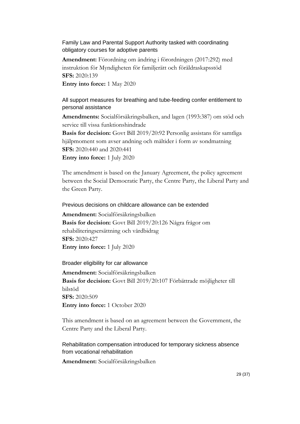## <span id="page-28-0"></span>Family Law and Parental Support Authority tasked with coordinating obligatory courses for adoptive parents

**Amendment:** Förordning om ändring i förordningen (2017:292) med instruktion för Myndigheten för familjerätt och föräldraskapsstöd **SFS:** 2020:139 **Entry into force:** 1 May 2020

## <span id="page-28-1"></span>All support measures for breathing and tube-feeding confer entitlement to personal assistance

**Amendments:** Socialförsäkringsbalken, and lagen (1993:387) om stöd och service till vissa funktionshindrade

**Basis for decision:** Govt Bill 2019/20:92 Personlig assistans för samtliga hjälpmoment som avser andning och måltider i form av sondmatning **SFS:** 2020:440 and 2020:441 **Entry into force:** 1 July 2020

The amendment is based on the January Agreement, the policy agreement between the Social Democratic Party, the Centre Party, the Liberal Party and the Green Party.

<span id="page-28-2"></span>Previous decisions on childcare allowance can be extended

**Amendment:** Socialförsäkringsbalken **Basis for decision:** Govt Bill 2019/20:126 Några frågor om rehabiliteringsersättning och vårdbidrag **SFS:** 2020:427 **Entry into force:** 1 July 2020

#### <span id="page-28-3"></span>Broader eligibility for car allowance

**Amendment:** Socialförsäkringsbalken **Basis for decision:** Govt Bill 2019/20:107 Förbättrade möjligheter till bilstöd **SFS:** 2020:509 **Entry into force:** 1 October 2020

This amendment is based on an agreement between the Government, the Centre Party and the Liberal Party.

## <span id="page-28-4"></span>Rehabilitation compensation introduced for temporary sickness absence from vocational rehabilitation

**Amendment:** Socialförsäkringsbalken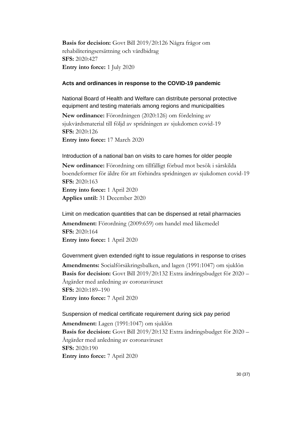**Basis for decision:** Govt Bill 2019/20:126 Några frågor om rehabiliteringsersättning och vårdbidrag **SFS:** 2020:427 **Entry into force:** 1 July 2020

#### <span id="page-29-0"></span>**Acts and ordinances in response to the COVID-19 pandemic**

<span id="page-29-1"></span>National Board of Health and Welfare can distribute personal protective equipment and testing materials among regions and municipalities

**New ordinance:** Förordningen (2020:126) om fördelning av sjukvårdsmaterial till följd av spridningen av sjukdomen covid-19 **SFS:** 2020:126

**Entry into force:** 17 March 2020

#### <span id="page-29-2"></span>Introduction of a national ban on visits to care homes for older people

**New ordinance:** Förordning om tillfälligt förbud mot besök i särskilda boendeformer för äldre för att förhindra spridningen av sjukdomen covid-19 **SFS:** 2020:163 **Entry into force:** 1 April 2020 **Applies until:** 31 December 2020

<span id="page-29-3"></span>Limit on medication quantities that can be dispensed at retail pharmacies **Amendment:** Förordning (2009:659) om handel med läkemedel **SFS:** 2020:164

**Entry into force:** 1 April 2020

<span id="page-29-4"></span>Government given extended right to issue regulations in response to crises **Amendments:** Socialförsäkringsbalken, and lagen (1991:1047) om sjuklön **Basis for decision:** Govt Bill 2019/20:132 Extra ändringsbudget för 2020 – Åtgärder med anledning av coronaviruset **SFS:** 2020:189–190 **Entry into force:** 7 April 2020

<span id="page-29-5"></span>Suspension of medical certificate requirement during sick pay period **Amendment:** Lagen (1991:1047) om sjuklön **Basis for decision:** Govt Bill 2019/20:132 Extra ändringsbudget för 2020 – Åtgärder med anledning av coronaviruset **SFS:** 2020:190 **Entry into force:** 7 April 2020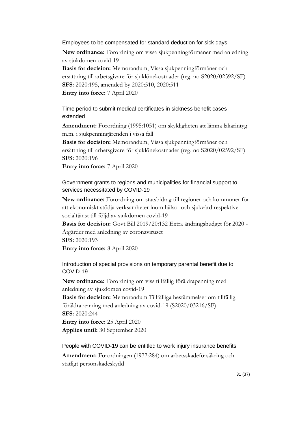#### <span id="page-30-0"></span>Employees to be compensated for standard deduction for sick days

**New ordinance:** Förordning om vissa sjukpenningförmåner med anledning av sjukdomen covid-19

**Basis for decision:** Memorandum, Vissa sjukpenningförmåner och ersättning till arbetsgivare för sjuklönekostnader (reg. no S2020/02592/SF) **SFS:** 2020:195, amended by 2020:510, 2020:511 **Entry into force:** 7 April 2020

<span id="page-30-1"></span>Time period to submit medical certificates in sickness benefit cases extended

**Amendment:** Förordning (1995:1051) om skyldigheten att lämna läkarintyg m.m. i sjukpenningärenden i vissa fall

**Basis for decision:** Memorandum, Vissa sjukpenningförmåner och ersättning till arbetsgivare för sjuklönekostnader (reg. no S2020/02592/SF) **SFS:** 2020:196

**Entry into force:** 7 April 2020

<span id="page-30-2"></span>Government grants to regions and municipalities for financial support to services necessitated by COVID-19

**New ordinance:** Förordning om statsbidrag till regioner och kommuner för att ekonomiskt stödja verksamheter inom hälso- och sjukvård respektive socialtjänst till följd av sjukdomen covid-19

**Basis for decision:** Govt Bill 2019/20:132 Extra ändringsbudget för 2020 - Åtgärder med anledning av coronaviruset **SFS:** 2020:193

**Entry into force:** 8 April 2020

<span id="page-30-3"></span>Introduction of special provisions on temporary parental benefit due to COVID-19

**New ordinance:** Förordning om viss tillfällig föräldrapenning med anledning av sjukdomen covid-19

**Basis for decision:** Memorandum Tillfälliga bestämmelser om tillfällig föräldrapenning med anledning av covid-19 (S2020/03216/SF) **SFS:** 2020:244 **Entry into force:** 25 April 2020

**Applies until:** 30 September 2020

<span id="page-30-4"></span>People with COVID-19 can be entitled to work injury insurance benefits

**Amendment:** Förordningen (1977:284) om arbetsskadeförsäkring och statligt personskadeskydd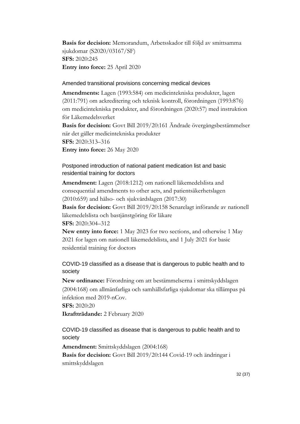**Basis for decision:** Memorandum, Arbetsskador till följd av smittsamma sjukdomar (S2020/03167/SF) **SFS:** 2020:245 **Entry into force:** 25 April 2020

#### <span id="page-31-0"></span>Amended transitional provisions concerning medical devices

**Amendments:** Lagen (1993:584) om medicintekniska produkter, lagen (2011:791) om ackreditering och teknisk kontroll, förordningen (1993:876) om medicintekniska produkter, and förordningen (2020:57) med instruktion för Läkemedelsverket

**Basis for decision:** Govt Bill 2019/20:161 Ändrade övergångsbestämmelser när det gäller medicintekniska produkter **SFS:** 2020:313–316

**Entry into force:** 26 May 2020

## <span id="page-31-1"></span>Postponed introduction of national patient medication list and basic residential training for doctors

**Amendment:** Lagen (2018:1212) om nationell läkemedelslista and consequential amendments to other acts, and patientsäkerhetslagen (2010:659) and hälso- och sjukvårdslagen (2017:30)

**Basis for decision:** Govt Bill 2019/20:158 Senarelagt införande av nationell läkemedelslista och bastjänstgöring för läkare

**SFS:** 2020:304–312

**New entry into force:** 1 May 2023 for two sections, and otherwise 1 May 2021 for lagen om nationell läkemedelslista, and 1 July 2021 for basic residential training for doctors

## <span id="page-31-2"></span>COVID-19 classified as a disease that is dangerous to public health and to society

**New ordinance:** Förordning om att bestämmelserna i smittskyddslagen (2004:168) om allmänfarliga och samhällsfarliga sjukdomar ska tillämpas på infektion med 2019-nCov.

**SFS:** 2020:20

**Ikraftträdande:** 2 February 2020

<span id="page-31-3"></span>COVID-19 classified as disease that is dangerous to public health and to society

**Amendment:** Smittskyddslagen (2004:168) **Basis for decision:** Govt Bill 2019/20:144 Covid-19 och ändringar i smittskyddslagen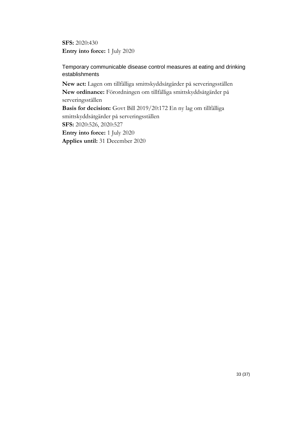**SFS:** 2020:430 **Entry into force:** 1 July 2020

<span id="page-32-0"></span>Temporary communicable disease control measures at eating and drinking establishments

**New act:** Lagen om tillfälliga smittskyddsåtgärder på serveringsställen **New ordinance:** Förordningen om tillfälliga smittskyddsåtgärder på serveringsställen **Basis for decision:** Govt Bill 2019/20:172 En ny lag om tillfälliga smittskyddsåtgärder på serveringsställen

**SFS:** 2020:526, 2020:527 **Entry into force:** 1 July 2020 **Applies until:** 31 December 2020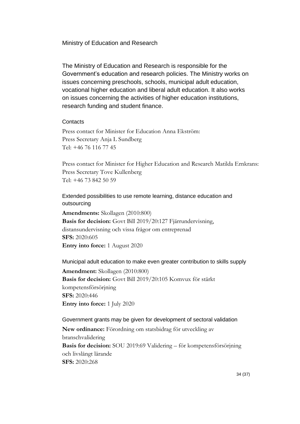<span id="page-33-0"></span>Ministry of Education and Research

The Ministry of Education and Research is responsible for the Government's education and research policies. The Ministry works on issues concerning preschools, schools, municipal adult education, vocational higher education and liberal adult education. It also works on issues concerning the activities of higher education institutions, research funding and student finance.

#### <span id="page-33-1"></span>**Contacts**

Press contact for Minister for Education Anna Ekström: Press Secretary Anja L Sundberg Tel: +46 76 116 77 45

Press contact for Minister for Higher Education and Research Matilda Ernkrans: Press Secretary Tove Kullenberg Tel: +46 73 842 50 59

<span id="page-33-2"></span>Extended possibilities to use remote learning, distance education and outsourcing

**Amendments:** Skollagen (2010:800) **Basis for decision:** Govt Bill 2019/20:127 Fjärrundervisning, distansundervisning och vissa frågor om entreprenad **SFS:** 2020:605 **Entry into force:** 1 August 2020

<span id="page-33-3"></span>Municipal adult education to make even greater contribution to skills supply **Amendment:** Skollagen (2010:800)

**Basis for decision:** Govt Bill 2019/20:105 Komvux för stärkt kompetensförsörjning **SFS:** 2020:446 **Entry into force:** 1 July 2020

#### <span id="page-33-4"></span>Government grants may be given for development of sectoral validation

**New ordinance:** Förordning om statsbidrag för utveckling av branschvalidering **Basis for decision:** SOU 2019:69 Validering – för kompetensförsörjning och livslångt lärande **SFS:** 2020:268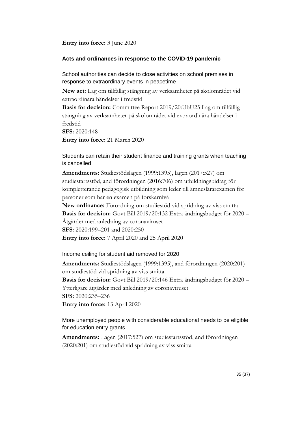**Entry into force:** 3 June 2020

#### <span id="page-34-0"></span>**Acts and ordinances in response to the COVID-19 pandemic**

<span id="page-34-1"></span>School authorities can decide to close activities on school premises in response to extraordinary events in peacetime

**New act:** Lag om tillfällig stängning av verksamheter på skolområdet vid extraordinära händelser i fredstid

**Basis for decision:** Committee Report 2019/20:UbU25 Lag om tillfällig stängning av verksamheter på skolområdet vid extraordinära händelser i fredstid

**SFS:** 2020:148

**Entry into force:** 21 March 2020

<span id="page-34-2"></span>Students can retain their student finance and training grants when teaching is cancelled

**Amendments:** Studiestödslagen (1999:1395), lagen (2017:527) om studiestartsstöd, and förordningen (2016:706) om utbildningsbidrag för kompletterande pedagogisk utbildning som leder till ämneslärarexamen för personer som har en examen på forskarnivå

**New ordinance:** Förordning om studiestöd vid spridning av viss smitta **Basis for decision:** Govt Bill 2019/20:132 Extra ändringsbudget för 2020 – Åtgärder med anledning av coronaviruset **SFS:** 2020:199–201 and 2020:250 **Entry into force:** 7 April 2020 and 25 April 2020

#### <span id="page-34-3"></span>Income ceiling for student aid removed for 2020

**Amendments:** Studiestödslagen (1999:1395), and förordningen (2020:201) om studiestöd vid spridning av viss smitta **Basis for decision:** Govt Bill 2019/20:146 Extra ändringsbudget för 2020 – Ytterligare åtgärder med anledning av coronaviruset **SFS:** 2020:235–236 **Entry into force:** 13 April 2020

<span id="page-34-4"></span>More unemployed people with considerable educational needs to be eligible for education entry grants

**Amendments:** Lagen (2017:527) om studiestartsstöd, and förordningen (2020:201) om studiestöd vid spridning av viss smitta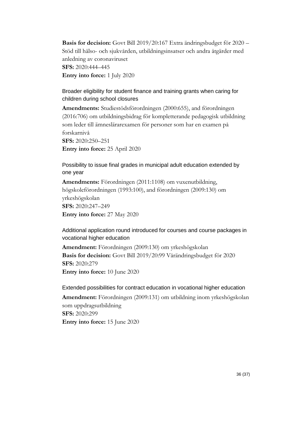**Basis for decision:** Govt Bill 2019/20:167 Extra ändringsbudget för 2020 – Stöd till hälso- och sjukvården, utbildningsinsatser och andra åtgärder med anledning av coronaviruset **SFS:** 2020:444–445 **Entry into force:** 1 July 2020

## <span id="page-35-0"></span>Broader eligibility for student finance and training grants when caring for children during school closures

**Amendments:** Studiestödsförordningen (2000:655), and förordningen (2016:706) om utbildningsbidrag för kompletterande pedagogisk utbildning som leder till ämneslärarexamen för personer som har en examen på forskarnivå **SFS:** 2020:250–251

**Entry into force:** 25 April 2020

<span id="page-35-1"></span>Possibility to issue final grades in municipal adult education extended by one year

**Amendments:** Förordningen (2011:1108) om vuxenutbildning, högskoleförordningen (1993:100), and förordningen (2009:130) om yrkeshögskolan **SFS:** 2020:247–249 **Entry into force:** 27 May 2020

<span id="page-35-2"></span>Additional application round introduced for courses and course packages in vocational higher education

**Amendment:** Förordningen (2009:130) om yrkeshögskolan **Basis for decision:** Govt Bill 2019/20:99 Vårändringsbudget för 2020 **SFS:** 2020:279 **Entry into force:** 10 June 2020

#### <span id="page-35-3"></span>Extended possibilities for contract education in vocational higher education

**Amendment:** Förordningen (2009:131) om utbildning inom yrkeshögskolan som uppdragsutbildning **SFS:** 2020:299 **Entry into force:** 15 June 2020